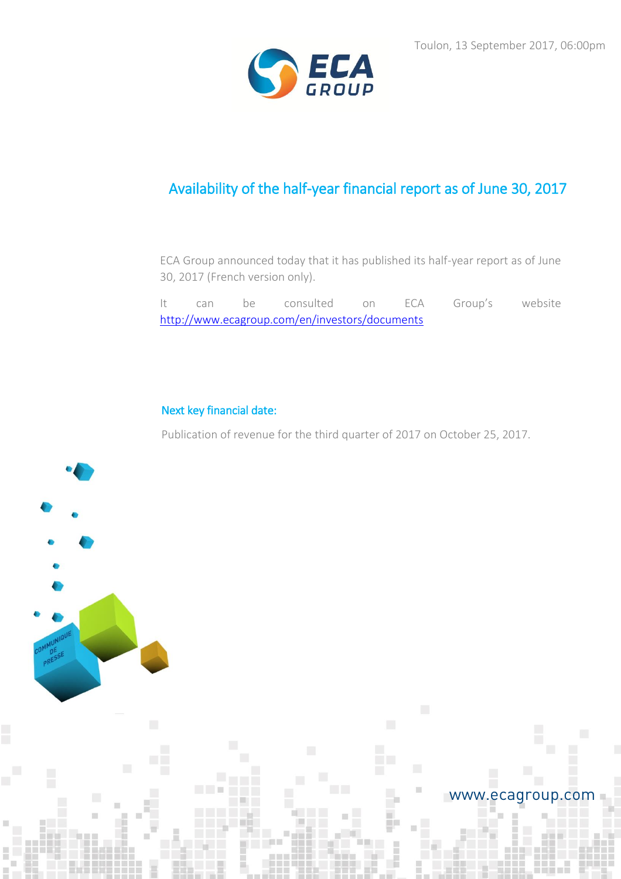

# Availability of the half-year financial report as of June 30, 2017

ECA Group announced today that it has published its half-year report as of June 30, 2017 (French version only).

It can be consulted on ECA Group's website <http://www.ecagroup.com/en/investors/documents>

## Next key financial date:

a di se

Publication of revenue for the third quarter of 2017 on October 25, 2017.



## www.ecagroup.com